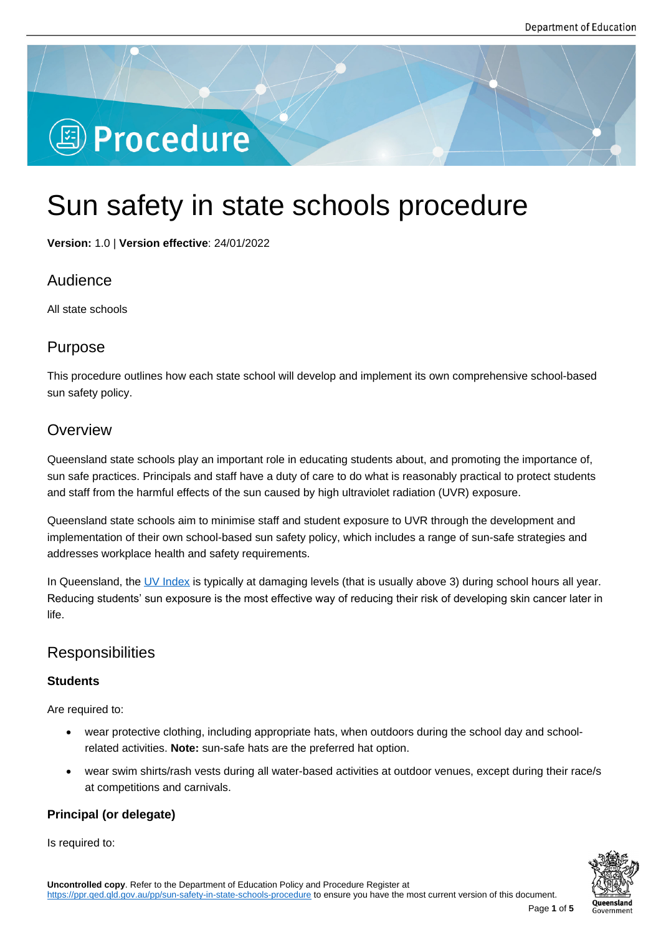# **图 Procedure**

## Sun safety in state schools procedure

**Version:** 1.0 | **Version effective**: 24/01/2022

## Audience

All state schools

## Purpose

This procedure outlines how each state school will develop and implement its own comprehensive school-based sun safety policy.

## **Overview**

Queensland state schools play an important role in educating students about, and promoting the importance of, sun safe practices. Principals and staff have a duty of care to do what is reasonably practical to protect students and staff from the harmful effects of the sun caused by high ultraviolet radiation (UVR) exposure.

Queensland state schools aim to minimise staff and student exposure to UVR through the development and implementation of their own school-based sun safety policy, which includes a range of sun-safe strategies and addresses workplace health and safety requirements.

In Queensland, the UV Index is typically at damaging levels (that is usually above 3) during school hours all year. Reducing students' sun exposure is the most effective way of reducing their risk of developing skin cancer later in life.

## **Responsibilities**

#### **Students**

Are required to:

- wear protective clothing, including appropriate hats, when outdoors during the school day and schoolrelated activities. **Note:** sun-safe hats are the preferred hat option.
- wear swim shirts/rash vests during all water-based activities at outdoor venues, except during their race/s at competitions and carnivals.

#### **Principal (or delegate)**

Is required to:

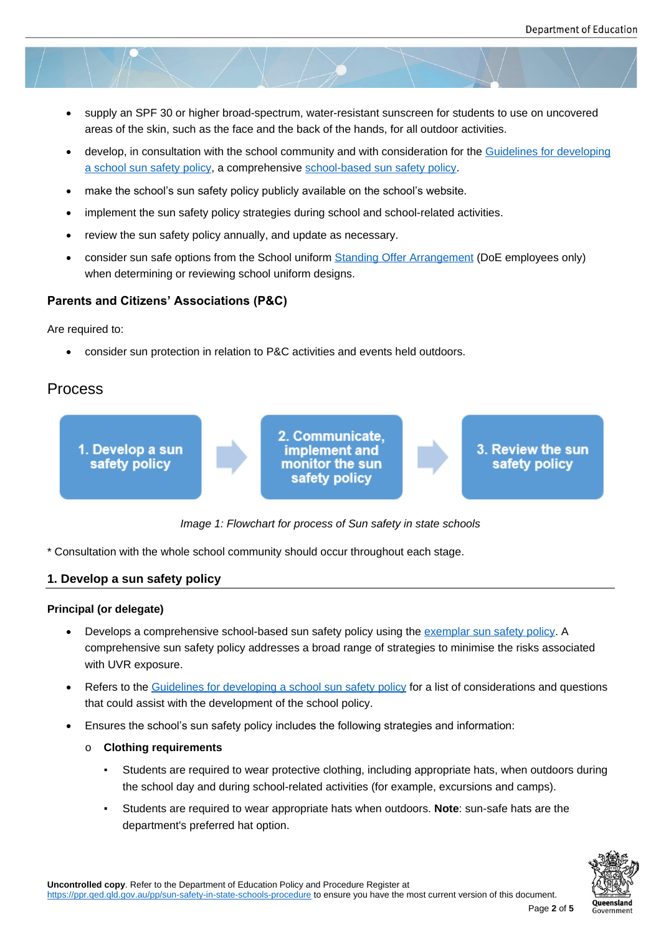- supply an SPF 30 or higher broad-spectrum, water-resistant sunscreen for students to use on uncovered areas of the skin, such as the face and the back of the hands, for all outdoor activities.
- develop, in consultation with the school community and with consideration for the Guidelines for developing a school sun safety policy, a comprehensive school-based sun safety policy.
- make the school's sun safety policy publicly available on the school's website.
- [implement the sun safety p](https://ppr.qed.qld.gov.au/attachment/Guidelines-for-developing-a-school-sun-safety-policy.pdf)olicy strategies d[uring school and school-related](https://ppr.qed.qld.gov.au/attachment/exemplar-school-sun-safety-policy.docx) activi[ties.](https://ppr.qed.qld.gov.au/attachment/Guidelines-for-developing-a-school-sun-safety-policy.pdf)
- review the sun safety policy annually, and update as necessary.
- consider sun safe options from the School uniform Standing Offer Arrangement (DoE employees only) when determining or reviewing school uniform designs.

#### **Parents and Citizens' Associations (P&C)**

Are required to:

consider sun protection in relation to P&C activities and events held outdoors.

## Process



*Image 1: Flowchart for process of Sun safety in state schools*

\* Consultation with the whole school community should occur throughout each stage.

#### **1. Develop a sun safety policy**

#### **Principal (or delegate)**

- Develops a comprehensive school-based sun safety policy using the exemplar sun safety policy. A comprehensive sun safety policy addresses a broad range of strategies to minimise the risks associated with UVR exposure.
- Refers to the Guidelines for developing a school sun safety policy for [a list of considerations and](https://ppr.qed.qld.gov.au/attachment/exemplar-school-sun-safety-policy.docx) questions that could assist with the development of the school policy.
- Ensures the school's sun safety policy includes the following strategies and information:
	- o **Clothing [requirements](https://ppr.qed.qld.gov.au/attachment/Guidelines-for-developing-a-school-sun-safety-policy.pdf)**
		- Students are required to wear protective clothing, including appropriate hats, when outdoors during the school day and during school-related activities (for example, excursions and camps).
		- Students are required to wear appropriate hats when outdoors. **Note**: sun-safe hats are the department's preferred hat option.

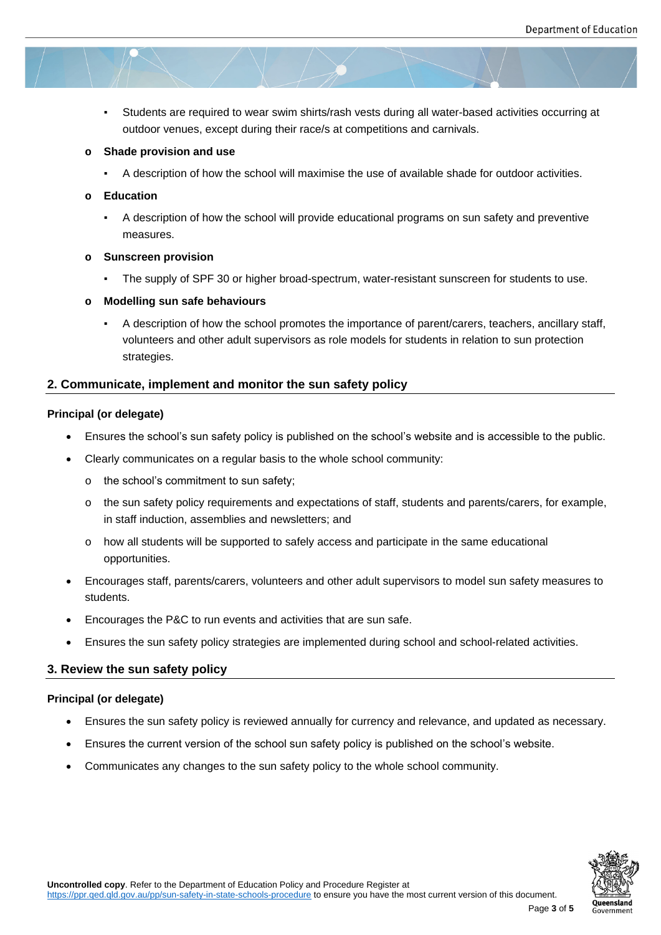▪ Students are required to wear swim shirts/rash vests during all water-based activities occurring at outdoor venues, except during their race/s at competitions and carnivals.

#### **o Shade provision and use**

▪ A description of how the school will maximise the use of available shade for outdoor activities.

#### **o Education**

▪ A description of how the school will provide educational programs on sun safety and preventive measures.

#### **o Sunscreen provision**

▪ The supply of SPF 30 or higher broad-spectrum, water-resistant sunscreen for students to use.

#### **o Modelling sun safe behaviours**

▪ A description of how the school promotes the importance of parent/carers, teachers, ancillary staff, volunteers and other adult supervisors as role models for students in relation to sun protection strategies.

#### **2. Communicate, implement and monitor the sun safety policy**

#### **Principal (or delegate)**

- Ensures the school's sun safety policy is published on the school's website and is accessible to the public.
- Clearly communicates on a regular basis to the whole school community:
	- o the school's commitment to sun safety;
	- o the sun safety policy requirements and expectations of staff, students and parents/carers, for example, in staff induction, assemblies and newsletters; and
	- o how all students will be supported to safely access and participate in the same educational opportunities.
- Encourages staff, parents/carers, volunteers and other adult supervisors to model sun safety measures to students.
- Encourages the P&C to run events and activities that are sun safe.
- Ensures the sun safety policy strategies are implemented during school and school-related activities.

#### **3. Review the sun safety policy**

#### **Principal (or delegate)**

- Ensures the sun safety policy is reviewed annually for currency and relevance, and updated as necessary.
- Ensures the current version of the school sun safety policy is published on the school's website.
- Communicates any changes to the sun safety policy to the whole school community.

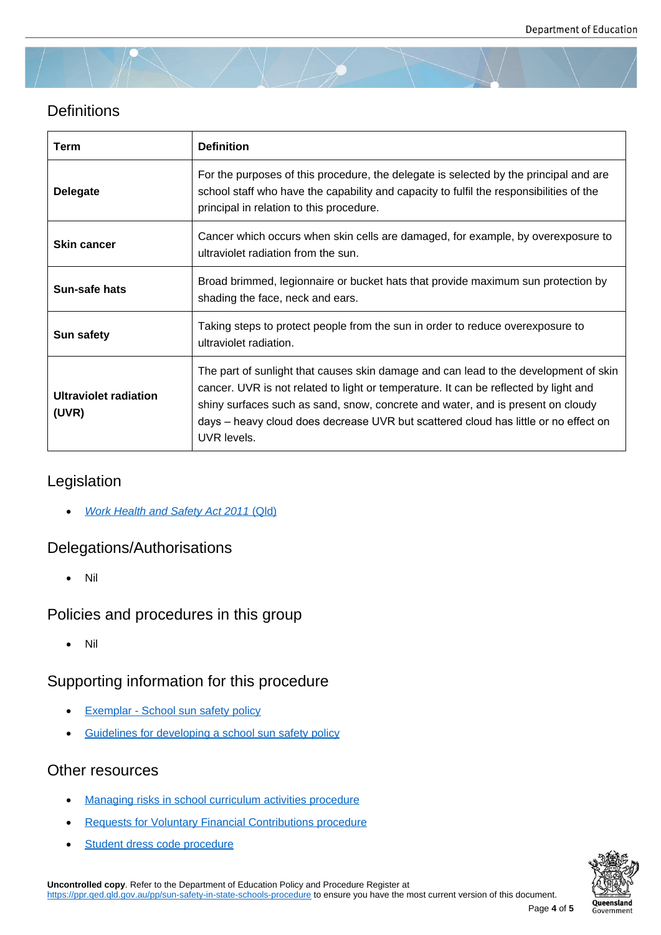## **Definitions**

| Term                                  | <b>Definition</b>                                                                                                                                                                                                                                                                                                                                                     |
|---------------------------------------|-----------------------------------------------------------------------------------------------------------------------------------------------------------------------------------------------------------------------------------------------------------------------------------------------------------------------------------------------------------------------|
| <b>Delegate</b>                       | For the purposes of this procedure, the delegate is selected by the principal and are<br>school staff who have the capability and capacity to fulfil the responsibilities of the<br>principal in relation to this procedure.                                                                                                                                          |
| <b>Skin cancer</b>                    | Cancer which occurs when skin cells are damaged, for example, by overexposure to<br>ultraviolet radiation from the sun.                                                                                                                                                                                                                                               |
| Sun-safe hats                         | Broad brimmed, legionnaire or bucket hats that provide maximum sun protection by<br>shading the face, neck and ears.                                                                                                                                                                                                                                                  |
| <b>Sun safety</b>                     | Taking steps to protect people from the sun in order to reduce overexposure to<br>ultraviolet radiation.                                                                                                                                                                                                                                                              |
| <b>Ultraviolet radiation</b><br>(UVR) | The part of sunlight that causes skin damage and can lead to the development of skin<br>cancer. UVR is not related to light or temperature. It can be reflected by light and<br>shiny surfaces such as sand, snow, concrete and water, and is present on cloudy<br>days – heavy cloud does decrease UVR but scattered cloud has little or no effect on<br>UVR levels. |

## Legislation

*Work Health and Safety Act 2011* (Qld)

## Delegations/Authorisations

Nil

## Policies and procedures in this group

Nil

## Supporting information for this procedure

- Exemplar School sun safety policy
- **Guidelines for developing a school sun safety policy**

## Othe[r resources](https://ppr.qed.qld.gov.au/attachment/exemplar-school-sun-safety-policy.docx)

- Managing risks in school curriculum activities procedure
- **Requests for Voluntary Financial Contributions procedure**
- [Student dress code procedure](https://ppr.qed.qld.gov.au/pp/managing-risks-in-school-curriculum-activities-procedure)